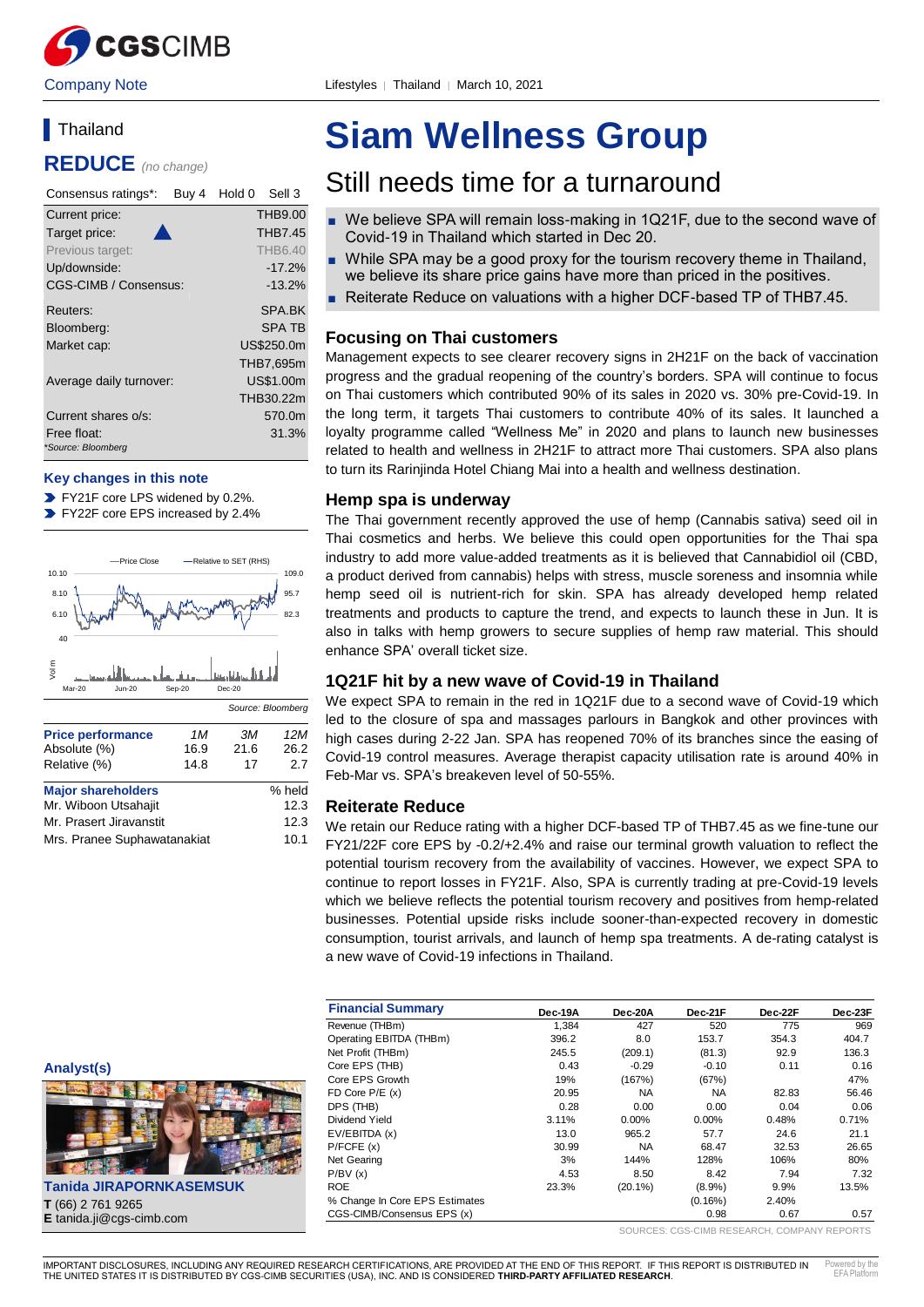**REDUCE** *(no change)*

| Consensus ratings*:<br>Buy 4      | Hold 0<br>Sell 3 |
|-----------------------------------|------------------|
| Current price:                    | <b>THB9.00</b>   |
| Target price:                     | <b>THB7.45</b>   |
| Previous target:                  | <b>THB6.40</b>   |
| Up/downside:                      | $-17.2%$         |
| <b>CGS-CIMB / Consensus:</b>      | $-13.2%$         |
| Reuters:                          | SPA.BK           |
| Bloomberg:                        | <b>SPA TB</b>    |
| Market cap:                       | US\$250.0m       |
|                                   | THB7,695m        |
| Average daily turnover:           | US\$1.00m        |
|                                   | THB30.22m        |
| Current shares o/s:               | 570.0m           |
| Free float:<br>*Source: Bloomberg | 31.3%            |

#### **Key changes in this note**

**FY21F core LPS widened by 0.2%.** 

FY22F core EPS increased by 2.4%



Mrs. Pranee Suphawatanakiat 10.1

# **Siam Wellness Group**

# Still needs time for a turnaround

- We believe SPA will remain loss-making in 1Q21F, due to the second wave of Covid-19 in Thailand which started in Dec 20.
- While SPA may be a good proxy for the tourism recovery theme in Thailand, we believe its share price gains have more than priced in the positives.
- Reiterate Reduce on valuations with a higher DCF-based TP of THB7.45.

## **Focusing on Thai customers**

Management expects to see clearer recovery signs in 2H21F on the back of vaccination progress and the gradual reopening of the country's borders. SPA will continue to focus on Thai customers which contributed 90% of its sales in 2020 vs. 30% pre-Covid-19. In the long term, it targets Thai customers to contribute 40% of its sales. It launched a loyalty programme called "Wellness Me" in 2020 and plans to launch new businesses related to health and wellness in 2H21F to attract more Thai customers. SPA also plans to turn its Rarinjinda Hotel Chiang Mai into a health and wellness destination.

#### **Hemp spa is underway**

The Thai government recently approved the use of hemp (Cannabis sativa) seed oil in Thai cosmetics and herbs. We believe this could open opportunities for the Thai spa industry to add more value-added treatments as it is believed that Cannabidiol oil (CBD, a product derived from cannabis) helps with stress, muscle soreness and insomnia while hemp seed oil is nutrient-rich for skin. SPA has already developed hemp related treatments and products to capture the trend, and expects to launch these in Jun. It is also in talks with hemp growers to secure supplies of hemp raw material. This should enhance SPA' overall ticket size.

#### **1Q21F hit by a new wave of Covid-19 in Thailand**

We expect SPA to remain in the red in 1Q21F due to a second wave of Covid-19 which led to the closure of spa and massages parlours in Bangkok and other provinces with high cases during 2-22 Jan. SPA has reopened 70% of its branches since the easing of Covid-19 control measures. Average therapist capacity utilisation rate is around 40% in Feb-Mar vs. SPA's breakeven level of 50-55%.

#### **Reiterate Reduce**

We retain our Reduce rating with a higher DCF-based TP of THB7.45 as we fine-tune our FY21/22F core EPS by -0.2/+2.4% and raise our terminal growth valuation to reflect the potential tourism recovery from the availability of vaccines. However, we expect SPA to continue to report losses in FY21F. Also, SPA is currently trading at pre-Covid-19 levels which we believe reflects the potential tourism recovery and positives from hemp-related businesses. Potential upside risks include sooner-than-expected recovery in domestic consumption, tourist arrivals, and launch of hemp spa treatments. A de-rating catalyst is a new wave of Covid-19 infections in Thailand.

| <b>Financial Summary</b>       | Dec-19A | Dec-20A    | Dec-21F    | Dec-22F | Dec-23F |
|--------------------------------|---------|------------|------------|---------|---------|
| Revenue (THBm)                 | 1.384   | 427        | 520        | 775     | 969     |
| Operating EBITDA (THBm)        | 396.2   | 8.0        | 153.7      | 354.3   | 404.7   |
| Net Profit (THBm)              | 245.5   | (209.1)    | (81.3)     | 92.9    | 136.3   |
| Core EPS (THB)                 | 0.43    | $-0.29$    | $-0.10$    | 0.11    | 0.16    |
| Core EPS Growth                | 19%     | (167%)     | (67%)      |         | 47%     |
| FD Core $P/E(x)$               | 20.95   | <b>NA</b>  | <b>NA</b>  | 82.83   | 56.46   |
| DPS (THB)                      | 0.28    | 0.00       | 0.00       | 0.04    | 0.06    |
| Dividend Yield                 | 3.11%   | 0.00%      | $0.00\%$   | 0.48%   | 0.71%   |
| EV/EBITDA (x)                  | 13.0    | 965.2      | 57.7       | 24.6    | 21.1    |
| P/FCFE(x)                      | 30.99   | <b>NA</b>  | 68.47      | 32.53   | 26.65   |
| Net Gearing                    | 3%      | 144%       | 128%       | 106%    | 80%     |
| P/BV(x)                        | 4.53    | 8.50       | 8.42       | 7.94    | 7.32    |
| <b>ROE</b>                     | 23.3%   | $(20.1\%)$ | $(8.9\%)$  | 9.9%    | 13.5%   |
| % Change In Core EPS Estimates |         |            | $(0.16\%)$ | 2.40%   |         |
| CGS-CIMB/Consensus EPS (x)     |         |            | 0.98       | 0.67    | 0.57    |

SOURCES: CGS-CIMB RESEARCH, COMPANY REPORTS



**Tanida JIRAPORNKASEMSUK T** (66) 2 761 9265 **E** tanida.ji@cgs-cimb.com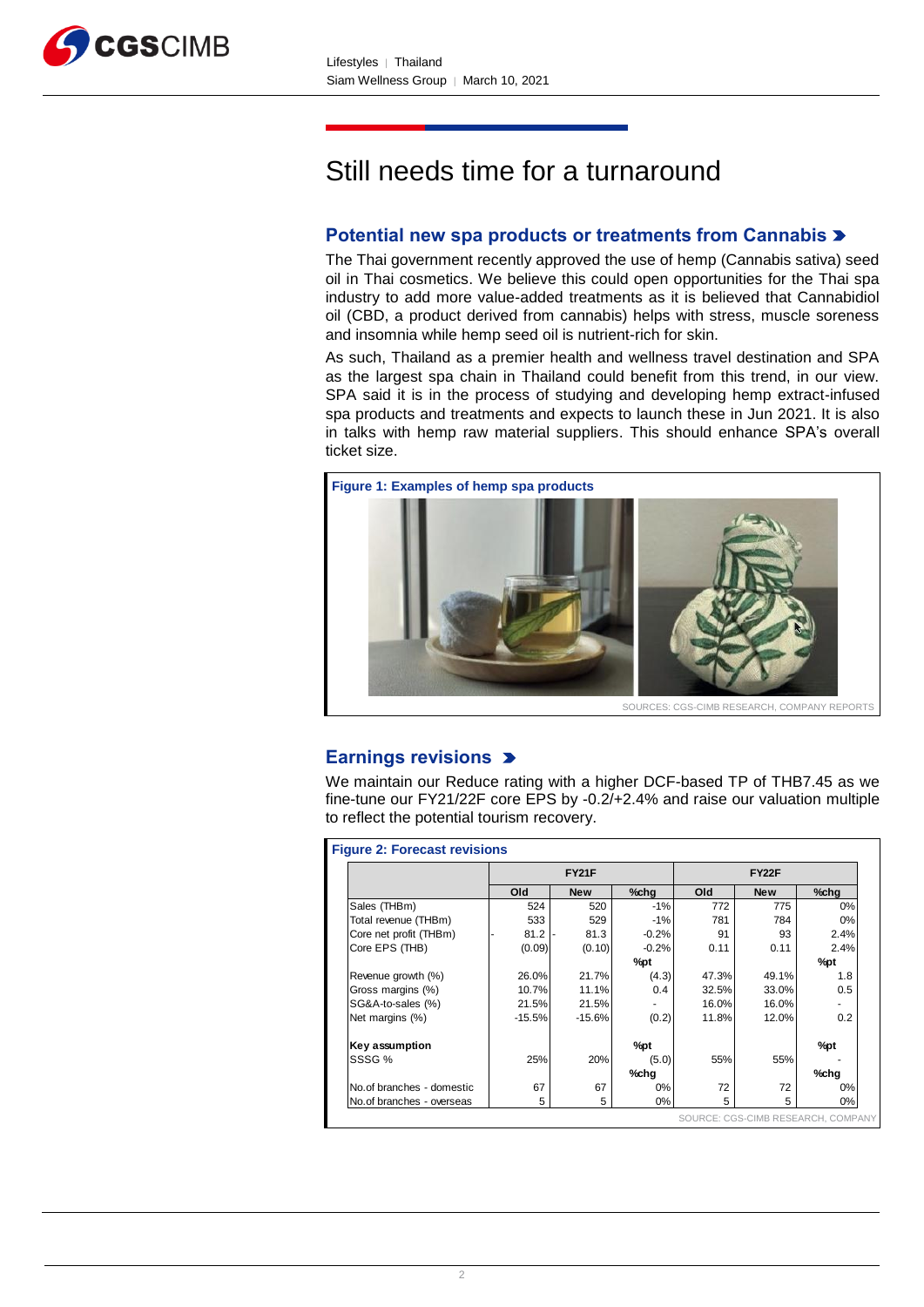

# Still needs time for a turnaround

# **Potential new spa products or treatments from Cannabis**

The Thai government recently approved the use of hemp (Cannabis sativa) seed oil in Thai cosmetics. We believe this could open opportunities for the Thai spa industry to add more value-added treatments as it is believed that Cannabidiol oil (CBD, a product derived from cannabis) helps with stress, muscle soreness and insomnia while hemp seed oil is nutrient-rich for skin.

As such, Thailand as a premier health and wellness travel destination and SPA as the largest spa chain in Thailand could benefit from this trend, in our view. SPA said it is in the process of studying and developing hemp extract-infused spa products and treatments and expects to launch these in Jun 2021. It is also in talks with hemp raw material suppliers. This should enhance SPA's overall ticket size.



# **Earnings revisions**

We maintain our Reduce rating with a higher DCF-based TP of THB7.45 as we fine-tune our FY21/22F core EPS by -0.2/+2.4% and raise our valuation multiple to reflect the potential tourism recovery.

|                           | <b>FY21F</b> |            |         | <b>FY22F</b> |            |         |
|---------------------------|--------------|------------|---------|--------------|------------|---------|
|                           | Old          | <b>New</b> | %chg    | Old          | <b>New</b> | $%$ chg |
| Sales (THBm)              | 524          | 520        | $-1%$   | 772          | 775        | 0%      |
| Total revenue (THBm)      | 533          | 529        | $-1%$   | 781          | 784        | 0%      |
| Core net profit (THBm)    | 81.2         | 81.3       | $-0.2%$ | 91           | 93         | 2.4%    |
| Core EPS (THB)            | (0.09)       | (0.10)     | $-0.2%$ | 0.11         | 0.11       | 2.4%    |
|                           |              |            | %pt     |              |            | $\%$ pt |
| Revenue growth (%)        | 26.0%        | 21.7%      | (4.3)   | 47.3%        | 49.1%      | 1.8     |
| Gross margins (%)         | 10.7%        | 11.1%      | 0.4     | 32.5%        | $33.0\%$   | 0.5     |
| SG&A-to-sales (%)         | 21.5%        | 21.5%      |         | 16.0%        | 16.0%      |         |
| Net margins (%)           | $-15.5%$     | $-15.6%$   | (0.2)   | 11.8%        | 12.0%      | 0.2     |
| Key assumption            |              |            | %pt     |              |            | %pt     |
| SSSG %                    | 25%          | 20%        | (5.0)   | 55%          | 55%        |         |
|                           |              |            | %chg    |              |            | %chg    |
| No.of branches - domestic | 67           | 67         | $0\%$   | 72           | 72         | 0%      |
| No.of branches - overseas | 5            | 5          | 0%      | 5            | 5          | 0%      |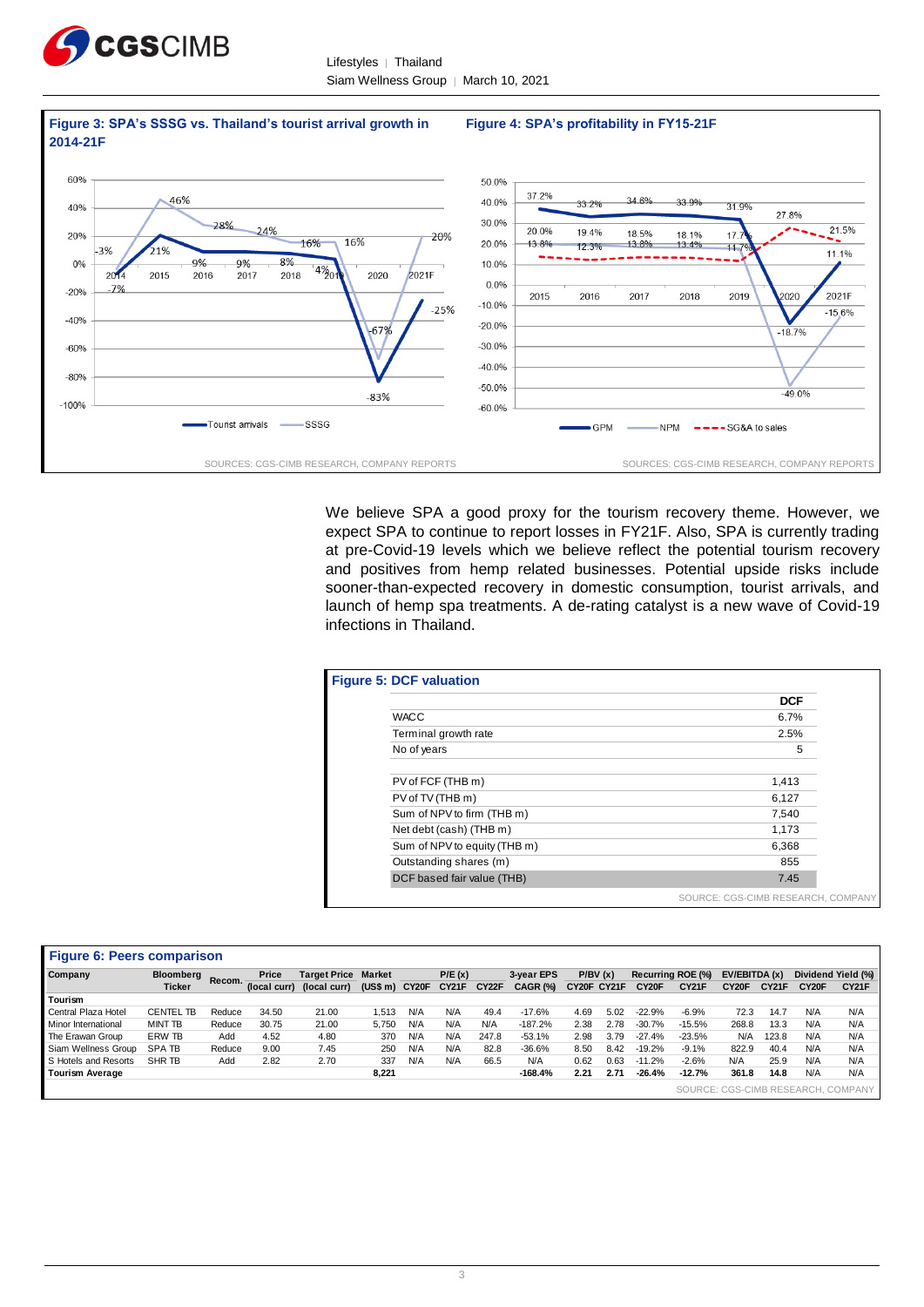

Lifestyles | Thailand Siam Wellness Group │ March 10, 2021



We believe SPA a good proxy for the tourism recovery theme. However, we expect SPA to continue to report losses in FY21F. Also, SPA is currently trading at pre-Covid-19 levels which we believe reflect the potential tourism recovery and positives from hemp related businesses. Potential upside risks include sooner-than-expected recovery in domestic consumption, tourist arrivals, and launch of hemp spa treatments. A de-rating catalyst is a new wave of Covid-19 infections in Thailand.

| <b>Figure 5: DCF valuation</b> |                                    |
|--------------------------------|------------------------------------|
|                                | <b>DCF</b>                         |
| <b>WACC</b>                    | 6.7%                               |
| Terminal growth rate           | 2.5%                               |
| No of years                    | 5                                  |
| PV of FCF (THB m)              | 1,413                              |
| PV of TV (THB m)               | 6,127                              |
| Sum of NPV to firm (THB m)     | 7,540                              |
| Net debt (cash) (THB m)        | 1,173                              |
| Sum of NPV to equity (THB m)   | 6,368                              |
| Outstanding shares (m)         | 855                                |
| DCF based fair value (THB)     | 7.45                               |
|                                | SOURCE: CGS-CIMB RESEARCH, COMPANY |

|                        | <b>Figure 6: Peers comparison</b> |         |              |                     |               |       |        |                    |            |             |      |                    |                   |                    |              |                    |                                    |
|------------------------|-----------------------------------|---------|--------------|---------------------|---------------|-------|--------|--------------------|------------|-------------|------|--------------------|-------------------|--------------------|--------------|--------------------|------------------------------------|
| Company                | <b>Bloomberg</b>                  | Recom.- | Price        | <b>Target Price</b> | <b>Market</b> |       | P/E(x) |                    | 3-year EPS | P/BV(x)     |      |                    | Recurring ROE (%) | EV/EBITDA (x)      |              |                    | Dividend Yield (%)                 |
|                        | <b>Ticker</b>                     |         | (local curr) | (local curr)        | (US\$ m)      | CY20F | CY21F  | CY <sub>22</sub> F | CAGR (%)   | CY20F CY21F |      | CY <sub>20</sub> F | <b>CY21F</b>      | CY <sub>20</sub> F | <b>CY21F</b> | CY <sub>20</sub> F | <b>CY21F</b>                       |
| Tourism                |                                   |         |              |                     |               |       |        |                    |            |             |      |                    |                   |                    |              |                    |                                    |
| Central Plaza Hotel    | <b>CENTEL TB</b>                  | Reduce  | 34.50        | 21.00               | 1.513         | N/A   | N/A    | 49.4               | $-17.6%$   | 4.69        | 5.02 | $-22.9%$           | $-6.9%$           | 72.3               | 14.7         | N/A                | N/A                                |
| Minor International    | <b>MINT TB</b>                    | Reduce  | 30.75        | 21.00               | 5,750         | N/A   | N/A    | N/A                | $-187.2%$  | 2.38        | 2.78 | $-30.7%$           | $-15.5%$          | 268.8              | 13.3         | N/A                | N/A                                |
| The Erawan Group       | ERW TB                            | Add     | 4.52         | 4.80                | 370           | N/A   | N/A    | 247.8              | $-53.1%$   | 2.98        | 3.79 | $-27.4%$           | $-23.5%$          | N/A                | 123.8        | N/A                | N/A                                |
| Siam Wellness Group    | <b>SPATB</b>                      | Reduce  | 9.00         | 7.45                | 250           | N/A   | N/A    | 82.8               | $-36.6%$   | 8.50        | 8.42 | $-19.2%$           | $-9.1%$           | 822.9              | 40.4         | N/A                | N/A                                |
| S Hotels and Resorts   | SHR TB                            | Add     | 2.82         | 2.70                | 337           | N/A   | N/A    | 66.5               | N/A        | 0.62        | 0.63 | $-11.2%$           | $-2.6%$           | N/A                | 25.9         | N/A                | N/A                                |
| <b>Tourism Average</b> |                                   |         |              |                     | 8,221         |       |        |                    | $-168.4%$  | 2.21        | 2.71 | $-26.4%$           | $-12.7%$          | 361.8              | 14.8         | N/A                | N/A                                |
|                        |                                   |         |              |                     |               |       |        |                    |            |             |      |                    |                   |                    |              |                    | SOURCE: CGS-CIMB RESEARCH, COMPANY |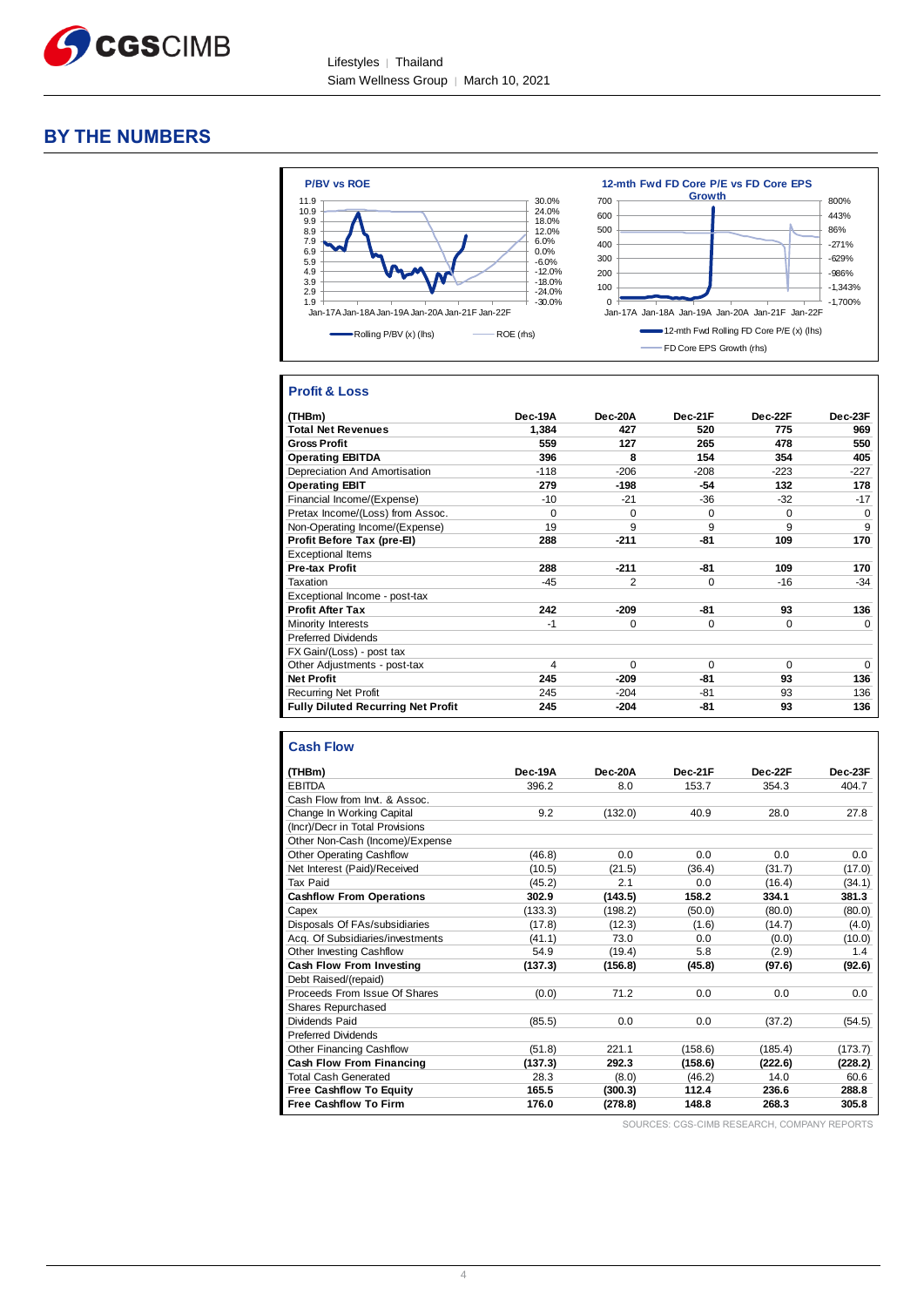

### **BY THE NUMBERS**



#### **Profit & Loss**

| (THBm)                                    | Dec-19A  | Dec-20A        | Dec-21F  | Dec-22F  | Dec-23F  |
|-------------------------------------------|----------|----------------|----------|----------|----------|
| <b>Total Net Revenues</b>                 | 1,384    | 427            | 520      | 775      | 969      |
| <b>Gross Profit</b>                       | 559      | 127            | 265      | 478      | 550      |
| <b>Operating EBITDA</b>                   | 396      | 8              | 154      | 354      | 405      |
| Depreciation And Amortisation             | $-118$   | $-206$         | $-208$   | $-223$   | $-227$   |
| <b>Operating EBIT</b>                     | 279      | $-198$         | -54      | 132      | 178      |
| Financial Income/(Expense)                | $-10$    | $-21$          | $-36$    | $-32$    | $-17$    |
| Pretax Income/(Loss) from Assoc.          | $\Omega$ | $\Omega$       | $\Omega$ | $\Omega$ | $\Omega$ |
| Non-Operating Income/(Expense)            | 19       | 9              | 9        | 9        | 9        |
| Profit Before Tax (pre-El)                | 288      | $-211$         | $-81$    | 109      | 170      |
| <b>Exceptional Items</b>                  |          |                |          |          |          |
| Pre-tax Profit                            | 288      | $-211$         | $-81$    | 109      | 170      |
| Taxation                                  | $-45$    | $\overline{2}$ | 0        | $-16$    | $-34$    |
| Exceptional Income - post-tax             |          |                |          |          |          |
| <b>Profit After Tax</b>                   | 242      | $-209$         | $-81$    | 93       | 136      |
| Minority Interests                        | $-1$     | $\Omega$       | $\Omega$ | $\Omega$ | $\Omega$ |
| <b>Preferred Dividends</b>                |          |                |          |          |          |
| FX Gain/(Loss) - post tax                 |          |                |          |          |          |
| Other Adjustments - post-tax              | 4        | $\Omega$       | $\Omega$ | $\Omega$ | $\Omega$ |
| <b>Net Profit</b>                         | 245      | $-209$         | -81      | 93       | 136      |
| <b>Recurring Net Profit</b>               | 245      | $-204$         | $-81$    | 93       | 136      |
| <b>Fully Diluted Recurring Net Profit</b> | 245      | $-204$         | -81      | 93       | 136      |

#### **Cash Flow**

| (THBm)                           | Dec-19A | Dec-20A | Dec-21F | Dec-22F | Dec-23F |
|----------------------------------|---------|---------|---------|---------|---------|
| <b>EBITDA</b>                    | 396.2   | 8.0     | 153.7   | 354.3   | 404.7   |
| Cash Flow from Invt. & Assoc.    |         |         |         |         |         |
| Change In Working Capital        | 9.2     | (132.0) | 40.9    | 28.0    | 27.8    |
| (Incr)/Decr in Total Provisions  |         |         |         |         |         |
| Other Non-Cash (Income)/Expense  |         |         |         |         |         |
| <b>Other Operating Cashflow</b>  | (46.8)  | 0.0     | 0.0     | 0.0     | 0.0     |
| Net Interest (Paid)/Received     | (10.5)  | (21.5)  | (36.4)  | (31.7)  | (17.0)  |
| Tax Paid                         | (45.2)  | 2.1     | 0.0     | (16.4)  | (34.1)  |
| <b>Cashflow From Operations</b>  | 302.9   | (143.5) | 158.2   | 334.1   | 381.3   |
| Capex                            | (133.3) | (198.2) | (50.0)  | (80.0)  | (80.0)  |
| Disposals Of FAs/subsidiaries    | (17.8)  | (12.3)  | (1.6)   | (14.7)  | (4.0)   |
| Acq. Of Subsidiaries/investments | (41.1)  | 73.0    | 0.0     | (0.0)   | (10.0)  |
| Other Investing Cashflow         | 54.9    | (19.4)  | 5.8     | (2.9)   | 1.4     |
| Cash Flow From Investing         | (137.3) | (156.8) | (45.8)  | (97.6)  | (92.6)  |
| Debt Raised/(repaid)             |         |         |         |         |         |
| Proceeds From Issue Of Shares    | (0.0)   | 71.2    | 0.0     | 0.0     | 0.0     |
| Shares Repurchased               |         |         |         |         |         |
| Dividends Paid                   | (85.5)  | 0.0     | 0.0     | (37.2)  | (54.5)  |
| <b>Preferred Dividends</b>       |         |         |         |         |         |
| <b>Other Financing Cashflow</b>  | (51.8)  | 221.1   | (158.6) | (185.4) | (173.7) |
| <b>Cash Flow From Financing</b>  | (137.3) | 292.3   | (158.6) | (222.6) | (228.2) |
| <b>Total Cash Generated</b>      | 28.3    | (8.0)   | (46.2)  | 14.0    | 60.6    |
| <b>Free Cashflow To Equity</b>   | 165.5   | (300.3) | 112.4   | 236.6   | 288.8   |
| <b>Free Cashflow To Firm</b>     | 176.0   | (278.8) | 148.8   | 268.3   | 305.8   |

SOURCES: CGS-CIMB RESEARCH, COMPANY REPORTS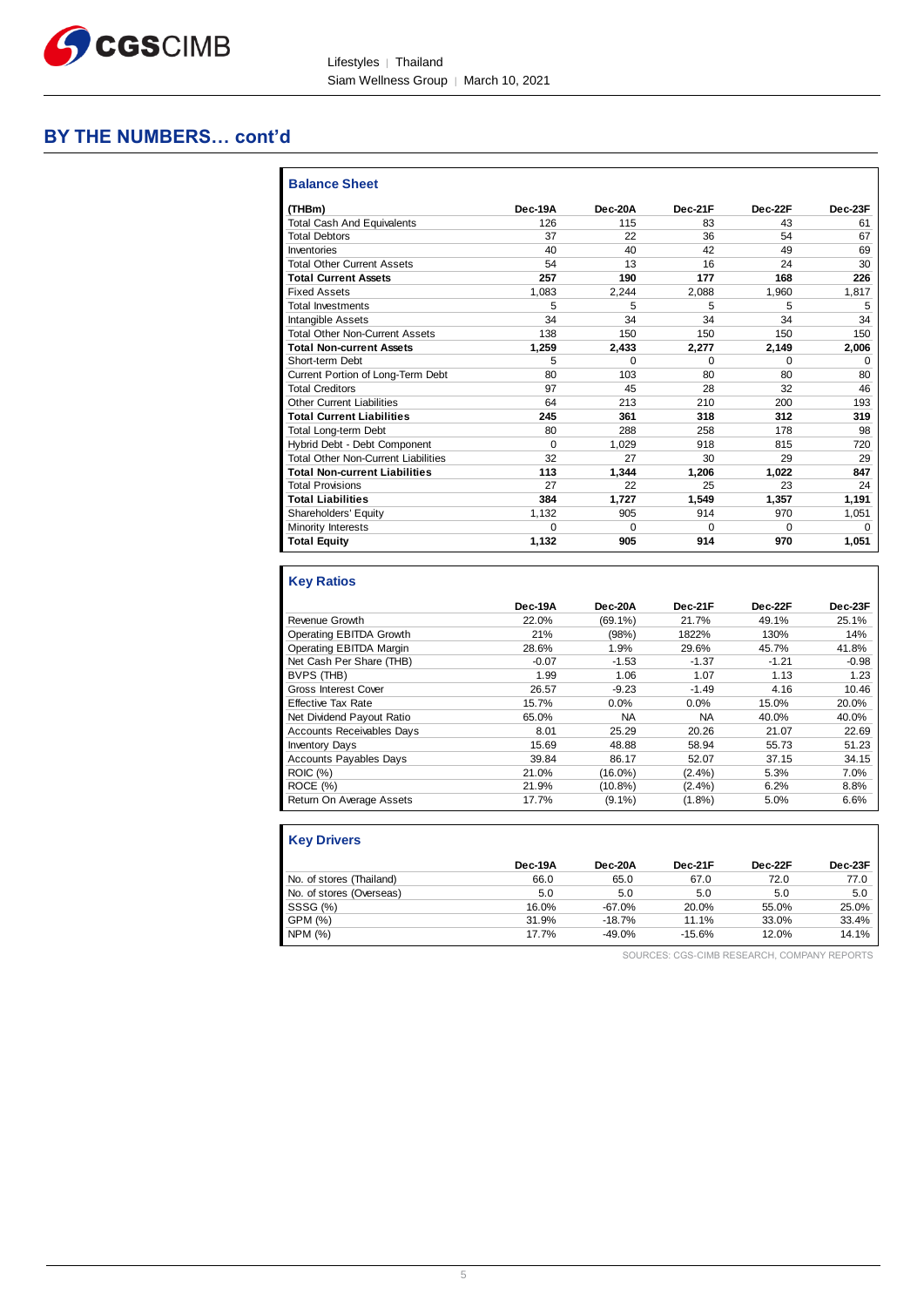

Lifestyles | Thailand Siam Wellness Group │ March 10, 2021

# **BY THE NUMBERS… cont'd**

| <b>Balance Sheet</b>                       |          |          |         |          |         |
|--------------------------------------------|----------|----------|---------|----------|---------|
| (THBm)                                     | Dec-19A  | Dec-20A  | Dec-21F | Dec-22F  | Dec-23F |
| <b>Total Cash And Equivalents</b>          | 126      | 115      | 83      | 43       | 61      |
| <b>Total Debtors</b>                       | 37       | 22       | 36      | 54       | 67      |
| Inventories                                | 40       | 40       | 42      | 49       | 69      |
| <b>Total Other Current Assets</b>          | 54       | 13       | 16      | 24       | 30      |
| <b>Total Current Assets</b>                | 257      | 190      | 177     | 168      | 226     |
| <b>Fixed Assets</b>                        | 1.083    | 2.244    | 2.088   | 1.960    | 1,817   |
| <b>Total Investments</b>                   | 5        | 5        | 5       | 5        | 5       |
| Intangible Assets                          | 34       | 34       | 34      | 34       | 34      |
| <b>Total Other Non-Current Assets</b>      | 138      | 150      | 150     | 150      | 150     |
| <b>Total Non-current Assets</b>            | 1,259    | 2,433    | 2,277   | 2,149    | 2,006   |
| Short-term Debt                            | 5        | $\Omega$ | 0       | $\Omega$ | 0       |
| Current Portion of Long-Term Debt          | 80       | 103      | 80      | 80       | 80      |
| <b>Total Creditors</b>                     | 97       | 45       | 28      | 32       | 46      |
| <b>Other Current Liabilities</b>           | 64       | 213      | 210     | 200      | 193     |
| <b>Total Current Liabilities</b>           | 245      | 361      | 318     | 312      | 319     |
| <b>Total Long-term Debt</b>                | 80       | 288      | 258     | 178      | 98      |
| Hybrid Debt - Debt Component               | $\Omega$ | 1.029    | 918     | 815      | 720     |
| <b>Total Other Non-Current Liabilities</b> | 32       | 27       | 30      | 29       | 29      |
| <b>Total Non-current Liabilities</b>       | 113      | 1.344    | 1,206   | 1.022    | 847     |
| <b>Total Provisions</b>                    | 27       | 22       | 25      | 23       | 24      |
| <b>Total Liabilities</b>                   | 384      | 1,727    | 1,549   | 1,357    | 1,191   |
| Shareholders' Equity                       | 1.132    | 905      | 914     | 970      | 1,051   |
| Minority Interests                         | $\Omega$ | $\Omega$ | 0       | $\Omega$ | 0       |
| <b>Total Equity</b>                        | 1,132    | 905      | 914     | 970      | 1,051   |

### **Key Ratios**

|                                  | Dec-19A | Dec-20A    | Dec-21F   | Dec-22F | Dec-23F |
|----------------------------------|---------|------------|-----------|---------|---------|
| Revenue Growth                   | 22.0%   | $(69.1\%)$ | 21.7%     | 49.1%   | 25.1%   |
| Operating EBITDA Growth          | 21%     | (98%)      | 1822%     | 130%    | 14%     |
| Operating EBITDA Margin          | 28.6%   | 1.9%       | 29.6%     | 45.7%   | 41.8%   |
| Net Cash Per Share (THB)         | $-0.07$ | $-1.53$    | $-1.37$   | $-1.21$ | $-0.98$ |
| BVPS (THB)                       | 1.99    | 1.06       | 1.07      | 1.13    | 1.23    |
| <b>Gross Interest Cover</b>      | 26.57   | $-9.23$    | $-1.49$   | 4.16    | 10.46   |
| <b>Effective Tax Rate</b>        | 15.7%   | 0.0%       | 0.0%      | 15.0%   | 20.0%   |
| Net Dividend Payout Ratio        | 65.0%   | <b>NA</b>  | <b>NA</b> | 40.0%   | 40.0%   |
| <b>Accounts Receivables Days</b> | 8.01    | 25.29      | 20.26     | 21.07   | 22.69   |
| <b>Inventory Days</b>            | 15.69   | 48.88      | 58.94     | 55.73   | 51.23   |
| <b>Accounts Payables Days</b>    | 39.84   | 86.17      | 52.07     | 37.15   | 34.15   |
| <b>ROIC</b> (%)                  | 21.0%   | $(16.0\%)$ | $(2.4\%)$ | 5.3%    | 7.0%    |
| ROCE (%)                         | 21.9%   | $(10.8\%)$ | $(2.4\%)$ | 6.2%    | 8.8%    |
| Return On Average Assets         | 17.7%   | $(9.1\%)$  | $(1.8\%)$ | 5.0%    | 6.6%    |

| <b>Key Drivers</b>       |         |           |          |         |         |
|--------------------------|---------|-----------|----------|---------|---------|
|                          | Dec-19A | Dec-20A   | Dec-21F  | Dec-22F | Dec-23F |
| No. of stores (Thailand) | 66.0    | 65.0      | 67.0     | 72.0    | 77.0    |
| No. of stores (Overseas) | 5.0     | 5.0       | 5.0      | 5.0     | 5.0     |
| SSSG (%)                 | 16.0%   | $-67.0%$  | 20.0%    | 55.0%   | 25.0%   |
| GPM (%)                  | 31.9%   | $-18.7\%$ | 11.1%    | 33.0%   | 33.4%   |
| NPM (%)                  | 17.7%   | -49.0%    | $-15.6%$ | 12.0%   | 14.1%   |

SOURCES: CGS-CIMB RESEARCH, COMPANY REPORTS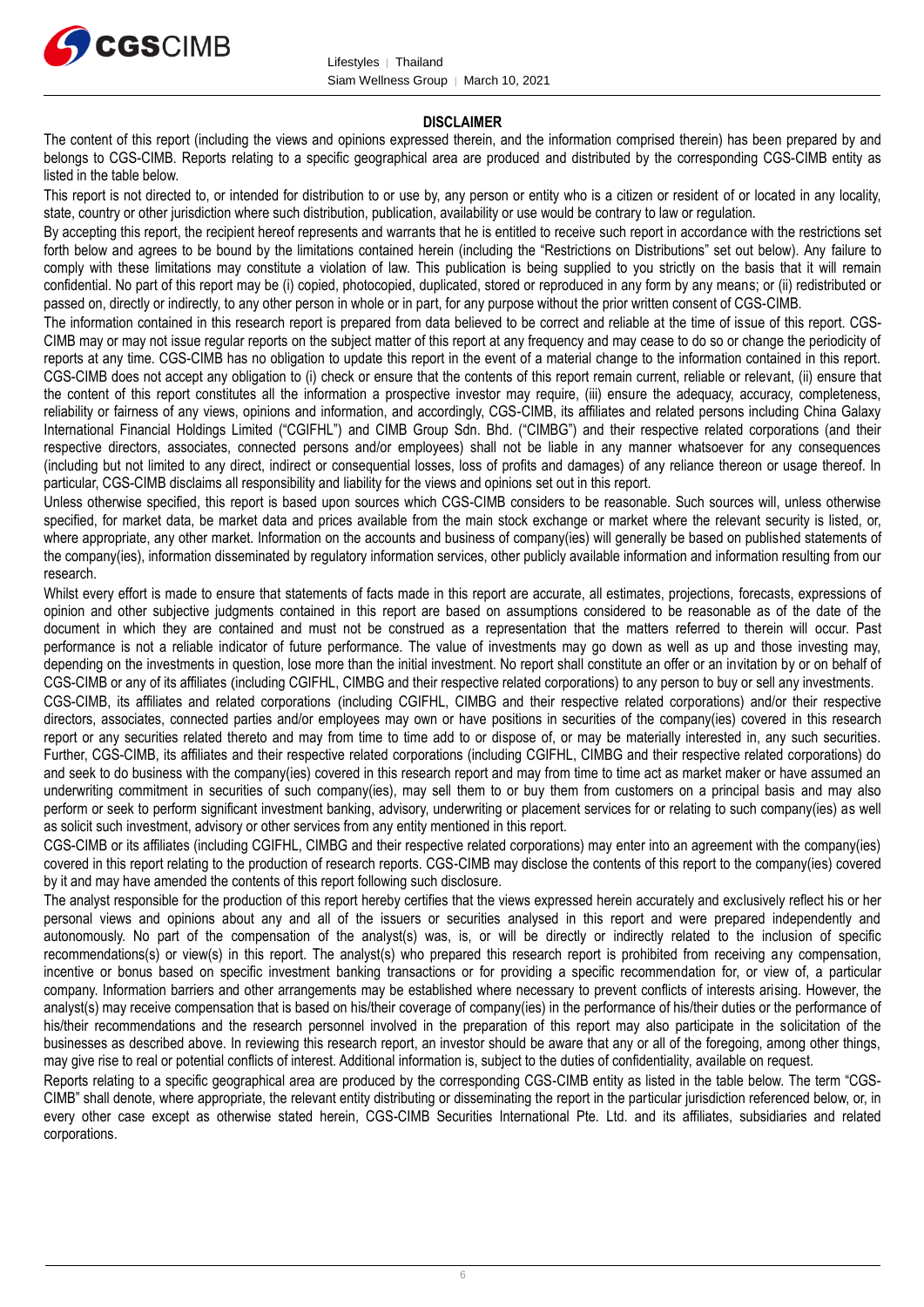

#### **DISCLAIMER**

The content of this report (including the views and opinions expressed therein, and the information comprised therein) has been prepared by and belongs to CGS-CIMB. Reports relating to a specific geographical area are produced and distributed by the corresponding CGS-CIMB entity as listed in the table below.

This report is not directed to, or intended for distribution to or use by, any person or entity who is a citizen or resident of or located in any locality, state, country or other jurisdiction where such distribution, publication, availability or use would be contrary to law or regulation.

By accepting this report, the recipient hereof represents and warrants that he is entitled to receive such report in accordance with the restrictions set forth below and agrees to be bound by the limitations contained herein (including the "Restrictions on Distributions" set out below). Any failure to comply with these limitations may constitute a violation of law. This publication is being supplied to you strictly on the basis that it will remain confidential. No part of this report may be (i) copied, photocopied, duplicated, stored or reproduced in any form by any means; or (ii) redistributed or passed on, directly or indirectly, to any other person in whole or in part, for any purpose without the prior written consent of CGS-CIMB.

The information contained in this research report is prepared from data believed to be correct and reliable at the time of issue of this report. CGS-CIMB may or may not issue regular reports on the subject matter of this report at any frequency and may cease to do so or change the periodicity of reports at any time. CGS-CIMB has no obligation to update this report in the event of a material change to the information contained in this report. CGS-CIMB does not accept any obligation to (i) check or ensure that the contents of this report remain current, reliable or relevant, (ii) ensure that the content of this report constitutes all the information a prospective investor may require, (iii) ensure the adequacy, accuracy, completeness, reliability or fairness of any views, opinions and information, and accordingly, CGS-CIMB, its affiliates and related persons including China Galaxy International Financial Holdings Limited ("CGIFHL") and CIMB Group Sdn. Bhd. ("CIMBG") and their respective related corporations (and their respective directors, associates, connected persons and/or employees) shall not be liable in any manner whatsoever for any consequences (including but not limited to any direct, indirect or consequential losses, loss of profits and damages) of any reliance thereon or usage thereof. In particular, CGS-CIMB disclaims all responsibility and liability for the views and opinions set out in this report.

Unless otherwise specified, this report is based upon sources which CGS-CIMB considers to be reasonable. Such sources will, unless otherwise specified, for market data, be market data and prices available from the main stock exchange or market where the relevant security is listed, or, where appropriate, any other market. Information on the accounts and business of company(ies) will generally be based on published statements of the company(ies), information disseminated by regulatory information services, other publicly available information and information resulting from our research.

Whilst every effort is made to ensure that statements of facts made in this report are accurate, all estimates, projections, forecasts, expressions of opinion and other subjective judgments contained in this report are based on assumptions considered to be reasonable as of the date of the document in which they are contained and must not be construed as a representation that the matters referred to therein will occur. Past performance is not a reliable indicator of future performance. The value of investments may go down as well as up and those investing may, depending on the investments in question, lose more than the initial investment. No report shall constitute an offer or an invitation by or on behalf of CGS-CIMB or any of its affiliates (including CGIFHL, CIMBG and their respective related corporations) to any person to buy or sell any investments.

CGS-CIMB, its affiliates and related corporations (including CGIFHL, CIMBG and their respective related corporations) and/or their respective directors, associates, connected parties and/or employees may own or have positions in securities of the company(ies) covered in this research report or any securities related thereto and may from time to time add to or dispose of, or may be materially interested in, any such securities. Further, CGS-CIMB, its affiliates and their respective related corporations (including CGIFHL, CIMBG and their respective related corporations) do and seek to do business with the company(ies) covered in this research report and may from time to time act as market maker or have assumed an underwriting commitment in securities of such company(ies), may sell them to or buy them from customers on a principal basis and may also perform or seek to perform significant investment banking, advisory, underwriting or placement services for or relating to such company(ies) as well as solicit such investment, advisory or other services from any entity mentioned in this report.

CGS-CIMB or its affiliates (including CGIFHL, CIMBG and their respective related corporations) may enter into an agreement with the company(ies) covered in this report relating to the production of research reports. CGS-CIMB may disclose the contents of this report to the company(ies) covered by it and may have amended the contents of this report following such disclosure.

The analyst responsible for the production of this report hereby certifies that the views expressed herein accurately and exclusively reflect his or her personal views and opinions about any and all of the issuers or securities analysed in this report and were prepared independently and autonomously. No part of the compensation of the analyst(s) was, is, or will be directly or indirectly related to the inclusion of specific recommendations(s) or view(s) in this report. The analyst(s) who prepared this research report is prohibited from receiving any compensation, incentive or bonus based on specific investment banking transactions or for providing a specific recommendation for, or view of, a particular company. Information barriers and other arrangements may be established where necessary to prevent conflicts of interests arising. However, the analyst(s) may receive compensation that is based on his/their coverage of company(ies) in the performance of his/their duties or the performance of his/their recommendations and the research personnel involved in the preparation of this report may also participate in the solicitation of the businesses as described above. In reviewing this research report, an investor should be aware that any or all of the foregoing, among other things, may give rise to real or potential conflicts of interest. Additional information is, subject to the duties of confidentiality, available on request.

Reports relating to a specific geographical area are produced by the corresponding CGS-CIMB entity as listed in the table below. The term "CGS-CIMB" shall denote, where appropriate, the relevant entity distributing or disseminating the report in the particular jurisdiction referenced below, or, in every other case except as otherwise stated herein, CGS-CIMB Securities International Pte. Ltd. and its affiliates, subsidiaries and related corporations.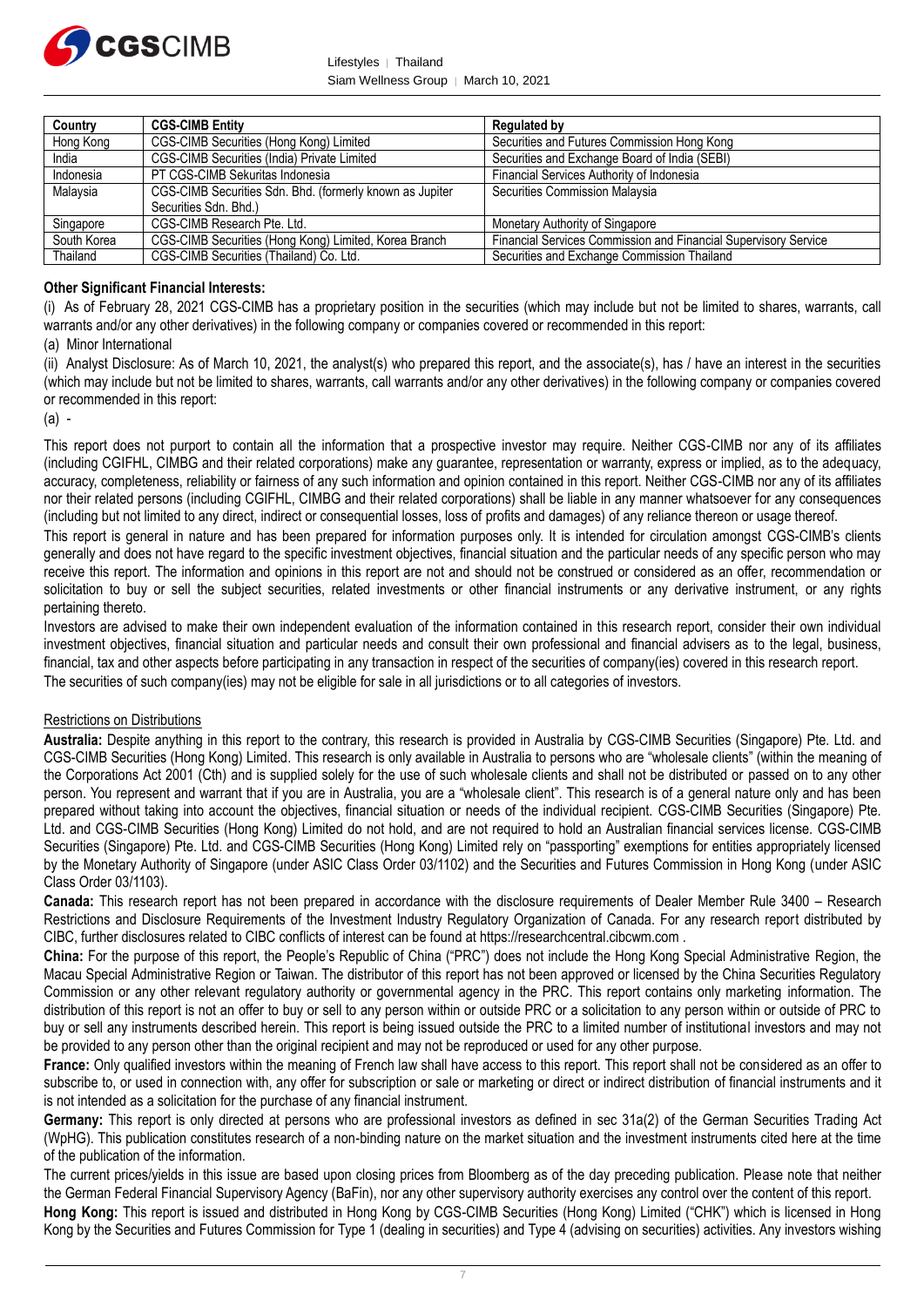

Lifestyles │ Thailand Siam Wellness Group │ March 10, 2021

| Country     | <b>CGS-CIMB Entity</b>                                   | <b>Regulated by</b>                                             |
|-------------|----------------------------------------------------------|-----------------------------------------------------------------|
| Hong Kong   | CGS-CIMB Securities (Hong Kong) Limited                  | Securities and Futures Commission Hong Kong                     |
| India       | CGS-CIMB Securities (India) Private Limited              | Securities and Exchange Board of India (SEBI)                   |
| Indonesia   | PT CGS-CIMB Sekuritas Indonesia                          | Financial Services Authority of Indonesia                       |
| Malaysia    | CGS-CIMB Securities Sdn. Bhd. (formerly known as Jupiter | Securities Commission Malaysia                                  |
|             | Securities Sdn, Bhd.)                                    |                                                                 |
| Singapore   | CGS-CIMB Research Pte. Ltd.                              | Monetary Authority of Singapore                                 |
| South Korea | CGS-CIMB Securities (Hong Kong) Limited, Korea Branch    | Financial Services Commission and Financial Supervisory Service |
| Thailand    | CGS-CIMB Securities (Thailand) Co. Ltd.                  | Securities and Exchange Commission Thailand                     |

#### **Other Significant Financial Interests:**

(i) As of February 28, 2021 CGS-CIMB has a proprietary position in the securities (which may include but not be limited to shares, warrants, call warrants and/or any other derivatives) in the following company or companies covered or recommended in this report:

#### (a) Minor International

(ii) Analyst Disclosure: As of March 10, 2021, the analyst(s) who prepared this report, and the associate(s), has / have an interest in the securities (which may include but not be limited to shares, warrants, call warrants and/or any other derivatives) in the following company or companies covered or recommended in this report:

 $(a) -$ 

This report does not purport to contain all the information that a prospective investor may require. Neither CGS-CIMB nor any of its affiliates (including CGIFHL, CIMBG and their related corporations) make any guarantee, representation or warranty, express or implied, as to the adequacy, accuracy, completeness, reliability or fairness of any such information and opinion contained in this report. Neither CGS-CIMB nor any of its affiliates nor their related persons (including CGIFHL, CIMBG and their related corporations) shall be liable in any manner whatsoever for any consequences (including but not limited to any direct, indirect or consequential losses, loss of profits and damages) of any reliance thereon or usage thereof.

This report is general in nature and has been prepared for information purposes only. It is intended for circulation amongst CGS-CIMB's clients generally and does not have regard to the specific investment objectives, financial situation and the particular needs of any specific person who may receive this report. The information and opinions in this report are not and should not be construed or considered as an offer, recommendation or solicitation to buy or sell the subject securities, related investments or other financial instruments or any derivative instrument, or any rights pertaining thereto.

Investors are advised to make their own independent evaluation of the information contained in this research report, consider their own individual investment objectives, financial situation and particular needs and consult their own professional and financial advisers as to the legal, business, financial, tax and other aspects before participating in any transaction in respect of the securities of company(ies) covered in this research report. The securities of such company(ies) may not be eligible for sale in all jurisdictions or to all categories of investors.

#### Restrictions on Distributions

**Australia:** Despite anything in this report to the contrary, this research is provided in Australia by CGS-CIMB Securities (Singapore) Pte. Ltd. and CGS-CIMB Securities (Hong Kong) Limited. This research is only available in Australia to persons who are "wholesale clients" (within the meaning of the Corporations Act 2001 (Cth) and is supplied solely for the use of such wholesale clients and shall not be distributed or passed on to any other person. You represent and warrant that if you are in Australia, you are a "wholesale client". This research is of a general nature only and has been prepared without taking into account the objectives, financial situation or needs of the individual recipient. CGS-CIMB Securities (Singapore) Pte. Ltd. and CGS-CIMB Securities (Hong Kong) Limited do not hold, and are not required to hold an Australian financial services license. CGS-CIMB Securities (Singapore) Pte. Ltd. and CGS-CIMB Securities (Hong Kong) Limited rely on "passporting" exemptions for entities appropriately licensed by the Monetary Authority of Singapore (under ASIC Class Order 03/1102) and the Securities and Futures Commission in Hong Kong (under ASIC Class Order 03/1103).

**Canada:** This research report has not been prepared in accordance with the disclosure requirements of Dealer Member Rule 3400 – Research Restrictions and Disclosure Requirements of the Investment Industry Regulatory Organization of Canada. For any research report distributed by CIBC, further disclosures related to CIBC conflicts of interest can be found at https://researchcentral.cibcwm.com .

**China:** For the purpose of this report, the People's Republic of China ("PRC") does not include the Hong Kong Special Administrative Region, the Macau Special Administrative Region or Taiwan. The distributor of this report has not been approved or licensed by the China Securities Regulatory Commission or any other relevant regulatory authority or governmental agency in the PRC. This report contains only marketing information. The distribution of this report is not an offer to buy or sell to any person within or outside PRC or a solicitation to any person within or outside of PRC to buy or sell any instruments described herein. This report is being issued outside the PRC to a limited number of institutional investors and may not be provided to any person other than the original recipient and may not be reproduced or used for any other purpose.

**France:** Only qualified investors within the meaning of French law shall have access to this report. This report shall not be considered as an offer to subscribe to, or used in connection with, any offer for subscription or sale or marketing or direct or indirect distribution of financial instruments and it is not intended as a solicitation for the purchase of any financial instrument.

**Germany:** This report is only directed at persons who are professional investors as defined in sec 31a(2) of the German Securities Trading Act (WpHG). This publication constitutes research of a non-binding nature on the market situation and the investment instruments cited here at the time of the publication of the information.

The current prices/yields in this issue are based upon closing prices from Bloomberg as of the day preceding publication. Please note that neither the German Federal Financial Supervisory Agency (BaFin), nor any other supervisory authority exercises any control over the content of this report. **Hong Kong:** This report is issued and distributed in Hong Kong by CGS-CIMB Securities (Hong Kong) Limited ("CHK") which is licensed in Hong Kong by the Securities and Futures Commission for Type 1 (dealing in securities) and Type 4 (advising on securities) activities. Any investors wishing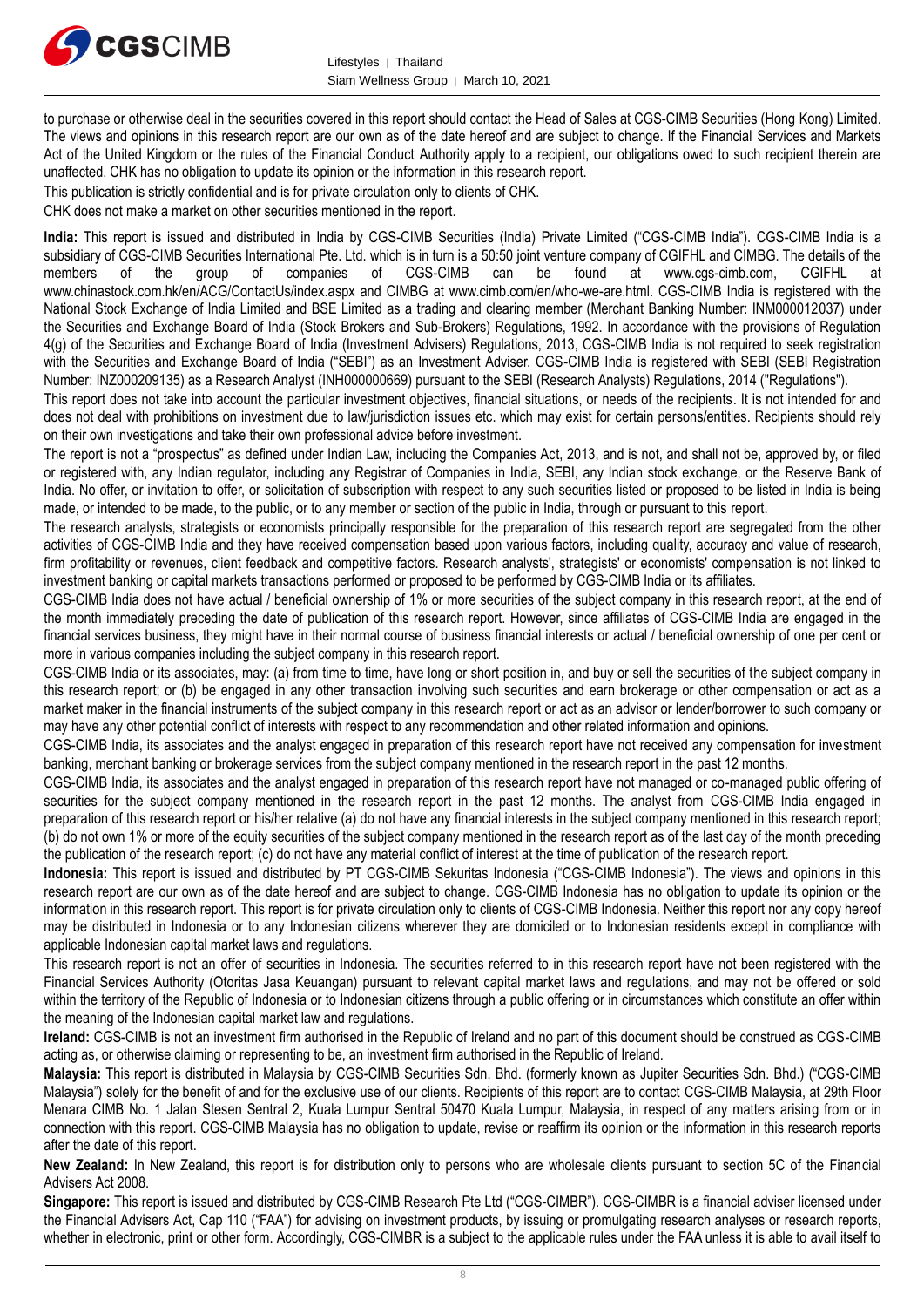

to purchase or otherwise deal in the securities covered in this report should contact the Head of Sales at CGS-CIMB Securities (Hong Kong) Limited. The views and opinions in this research report are our own as of the date hereof and are subject to change. If the Financial Services and Markets Act of the United Kingdom or the rules of the Financial Conduct Authority apply to a recipient, our obligations owed to such recipient therein are unaffected. CHK has no obligation to update its opinion or the information in this research report.

This publication is strictly confidential and is for private circulation only to clients of CHK.

CHK does not make a market on other securities mentioned in the report.

**India:** This report is issued and distributed in India by CGS-CIMB Securities (India) Private Limited ("CGS-CIMB India"). CGS-CIMB India is a subsidiary of CGS-CIMB Securities International Pte. Ltd. which is in turn is a 50:50 joint venture company of CGIFHL and CIMBG. The details of the members of the group of companies of CGS-CIMB can be found at www.cgs-cimb members of the group of companies of CGS-CIMB can be found at www.cgs-cimb.com, CGIFHL at www.chinastock.com.hk/en/ACG/ContactUs/index.aspx and CIMBG at www.cimb.com/en/who-we-are.html. CGS-CIMB India is registered with the National Stock Exchange of India Limited and BSE Limited as a trading and clearing member (Merchant Banking Number: INM000012037) under the Securities and Exchange Board of India (Stock Brokers and Sub-Brokers) Regulations, 1992. In accordance with the provisions of Regulation 4(g) of the Securities and Exchange Board of India (Investment Advisers) Regulations, 2013, CGS-CIMB India is not required to seek registration with the Securities and Exchange Board of India ("SEBI") as an Investment Adviser. CGS-CIMB India is registered with SEBI (SEBI Registration Number: INZ000209135) as a Research Analyst (INH000000669) pursuant to the SEBI (Research Analysts) Regulations, 2014 ("Regulations").

This report does not take into account the particular investment objectives, financial situations, or needs of the recipients. It is not intended for and does not deal with prohibitions on investment due to law/jurisdiction issues etc. which may exist for certain persons/entities. Recipients should rely on their own investigations and take their own professional advice before investment.

The report is not a "prospectus" as defined under Indian Law, including the Companies Act, 2013, and is not, and shall not be, approved by, or filed or registered with, any Indian regulator, including any Registrar of Companies in India, SEBI, any Indian stock exchange, or the Reserve Bank of India. No offer, or invitation to offer, or solicitation of subscription with respect to any such securities listed or proposed to be listed in India is being made, or intended to be made, to the public, or to any member or section of the public in India, through or pursuant to this report.

The research analysts, strategists or economists principally responsible for the preparation of this research report are segregated from the other activities of CGS-CIMB India and they have received compensation based upon various factors, including quality, accuracy and value of research, firm profitability or revenues, client feedback and competitive factors. Research analysts', strategists' or economists' compensation is not linked to investment banking or capital markets transactions performed or proposed to be performed by CGS-CIMB India or its affiliates.

CGS-CIMB India does not have actual / beneficial ownership of 1% or more securities of the subject company in this research report, at the end of the month immediately preceding the date of publication of this research report. However, since affiliates of CGS-CIMB India are engaged in the financial services business, they might have in their normal course of business financial interests or actual / beneficial ownership of one per cent or more in various companies including the subject company in this research report.

CGS-CIMB India or its associates, may: (a) from time to time, have long or short position in, and buy or sell the securities of the subject company in this research report; or (b) be engaged in any other transaction involving such securities and earn brokerage or other compensation or act as a market maker in the financial instruments of the subject company in this research report or act as an advisor or lender/borrower to such company or may have any other potential conflict of interests with respect to any recommendation and other related information and opinions.

CGS-CIMB India, its associates and the analyst engaged in preparation of this research report have not received any compensation for investment banking, merchant banking or brokerage services from the subject company mentioned in the research report in the past 12 months.

CGS-CIMB India, its associates and the analyst engaged in preparation of this research report have not managed or co-managed public offering of securities for the subject company mentioned in the research report in the past 12 months. The analyst from CGS-CIMB India engaged in preparation of this research report or his/her relative (a) do not have any financial interests in the subject company mentioned in this research report; (b) do not own 1% or more of the equity securities of the subject company mentioned in the research report as of the last day of the month preceding the publication of the research report; (c) do not have any material conflict of interest at the time of publication of the research report.

**Indonesia:** This report is issued and distributed by PT CGS-CIMB Sekuritas Indonesia ("CGS-CIMB Indonesia"). The views and opinions in this research report are our own as of the date hereof and are subject to change. CGS-CIMB Indonesia has no obligation to update its opinion or the information in this research report. This report is for private circulation only to clients of CGS-CIMB Indonesia. Neither this report nor any copy hereof may be distributed in Indonesia or to any Indonesian citizens wherever they are domiciled or to Indonesian residents except in compliance with applicable Indonesian capital market laws and regulations.

This research report is not an offer of securities in Indonesia. The securities referred to in this research report have not been registered with the Financial Services Authority (Otoritas Jasa Keuangan) pursuant to relevant capital market laws and regulations, and may not be offered or sold within the territory of the Republic of Indonesia or to Indonesian citizens through a public offering or in circumstances which constitute an offer within the meaning of the Indonesian capital market law and regulations.

**Ireland:** CGS-CIMB is not an investment firm authorised in the Republic of Ireland and no part of this document should be construed as CGS-CIMB acting as, or otherwise claiming or representing to be, an investment firm authorised in the Republic of Ireland.

**Malaysia:** This report is distributed in Malaysia by CGS-CIMB Securities Sdn. Bhd. (formerly known as Jupiter Securities Sdn. Bhd.) ("CGS-CIMB Malaysia") solely for the benefit of and for the exclusive use of our clients. Recipients of this report are to contact CGS-CIMB Malaysia, at 29th Floor Menara CIMB No. 1 Jalan Stesen Sentral 2, Kuala Lumpur Sentral 50470 Kuala Lumpur, Malaysia, in respect of any matters arising from or in connection with this report. CGS-CIMB Malaysia has no obligation to update, revise or reaffirm its opinion or the information in this research reports after the date of this report.

**New Zealand:** In New Zealand, this report is for distribution only to persons who are wholesale clients pursuant to section 5C of the Financial Advisers Act 2008.

**Singapore:** This report is issued and distributed by CGS-CIMB Research Pte Ltd ("CGS-CIMBR"). CGS-CIMBR is a financial adviser licensed under the Financial Advisers Act, Cap 110 ("FAA") for advising on investment products, by issuing or promulgating research analyses or research reports, whether in electronic, print or other form. Accordingly, CGS-CIMBR is a subject to the applicable rules under the FAA unless it is able to avail itself to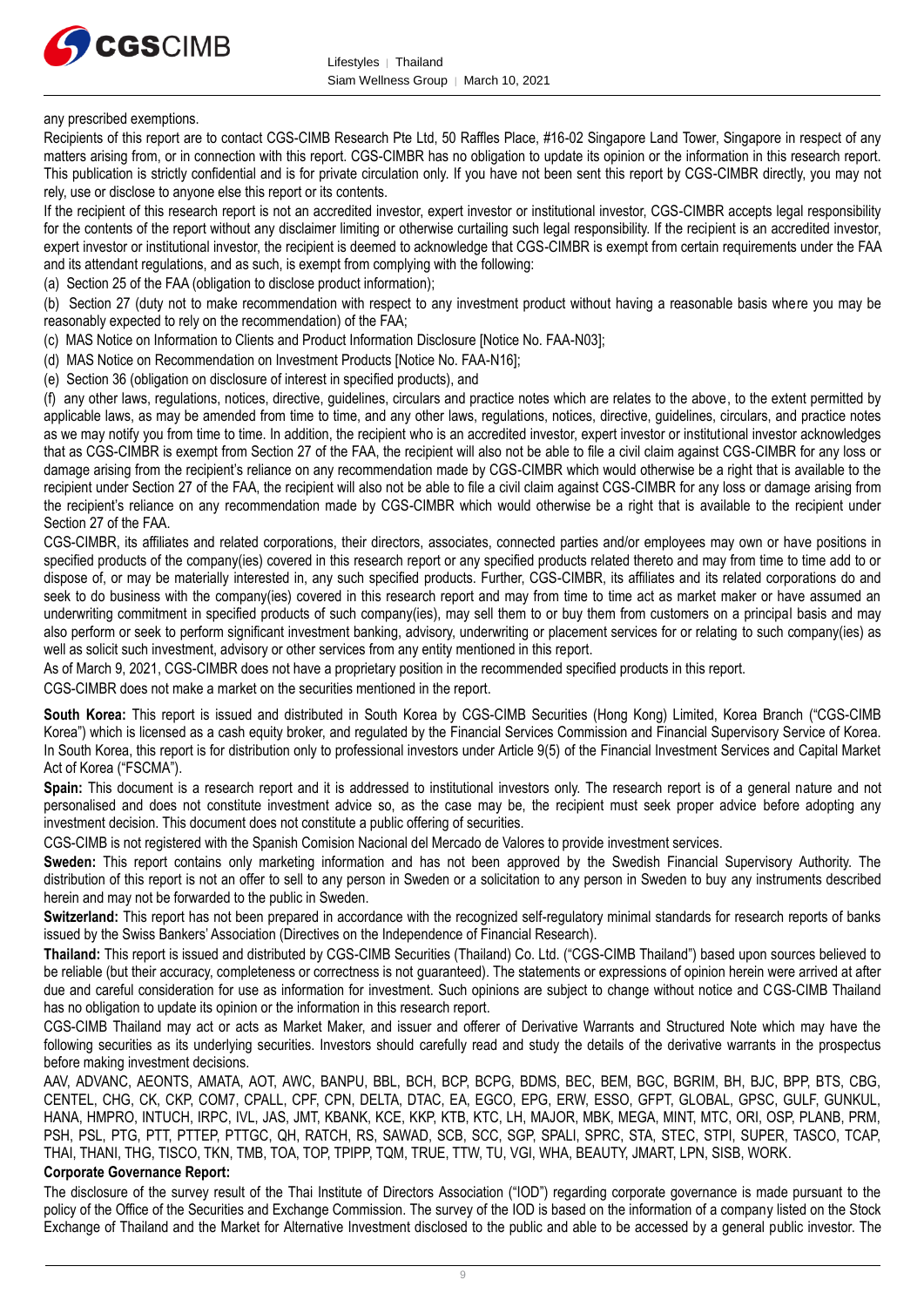

#### any prescribed exemptions.

Recipients of this report are to contact CGS-CIMB Research Pte Ltd, 50 Raffles Place, #16-02 Singapore Land Tower, Singapore in respect of any matters arising from, or in connection with this report. CGS-CIMBR has no obligation to update its opinion or the information in this research report. This publication is strictly confidential and is for private circulation only. If you have not been sent this report by CGS-CIMBR directly, you may not rely, use or disclose to anyone else this report or its contents.

If the recipient of this research report is not an accredited investor, expert investor or institutional investor, CGS-CIMBR accepts legal responsibility for the contents of the report without any disclaimer limiting or otherwise curtailing such legal responsibility. If the recipient is an accredited investor, expert investor or institutional investor, the recipient is deemed to acknowledge that CGS-CIMBR is exempt from certain requirements under the FAA and its attendant regulations, and as such, is exempt from complying with the following:

(a) Section 25 of the FAA (obligation to disclose product information);

(b) Section 27 (duty not to make recommendation with respect to any investment product without having a reasonable basis where you may be reasonably expected to rely on the recommendation) of the FAA;

- (c) MAS Notice on Information to Clients and Product Information Disclosure [Notice No. FAA-N03];
- (d) MAS Notice on Recommendation on Investment Products [Notice No. FAA-N16];
- (e) Section 36 (obligation on disclosure of interest in specified products), and

(f) any other laws, regulations, notices, directive, guidelines, circulars and practice notes which are relates to the above, to the extent permitted by applicable laws, as may be amended from time to time, and any other laws, regulations, notices, directive, guidelines, circulars, and practice notes as we may notify you from time to time. In addition, the recipient who is an accredited investor, expert investor or institutional investor acknowledges that as CGS-CIMBR is exempt from Section 27 of the FAA, the recipient will also not be able to file a civil claim against CGS-CIMBR for any loss or damage arising from the recipient's reliance on any recommendation made by CGS-CIMBR which would otherwise be a right that is available to the recipient under Section 27 of the FAA, the recipient will also not be able to file a civil claim against CGS-CIMBR for any loss or damage arising from the recipient's reliance on any recommendation made by CGS-CIMBR which would otherwise be a right that is available to the recipient under Section 27 of the FAA.

CGS-CIMBR, its affiliates and related corporations, their directors, associates, connected parties and/or employees may own or have positions in specified products of the company(ies) covered in this research report or any specified products related thereto and may from time to time add to or dispose of, or may be materially interested in, any such specified products. Further, CGS-CIMBR, its affiliates and its related corporations do and seek to do business with the company(ies) covered in this research report and may from time to time act as market maker or have assumed an underwriting commitment in specified products of such company(ies), may sell them to or buy them from customers on a principal basis and may also perform or seek to perform significant investment banking, advisory, underwriting or placement services for or relating to such company(ies) as well as solicit such investment, advisory or other services from any entity mentioned in this report.

As of March 9, 2021, CGS-CIMBR does not have a proprietary position in the recommended specified products in this report.

CGS-CIMBR does not make a market on the securities mentioned in the report.

**South Korea:** This report is issued and distributed in South Korea by CGS-CIMB Securities (Hong Kong) Limited, Korea Branch ("CGS-CIMB Korea") which is licensed as a cash equity broker, and regulated by the Financial Services Commission and Financial Supervisory Service of Korea. In South Korea, this report is for distribution only to professional investors under Article 9(5) of the Financial Investment Services and Capital Market Act of Korea ("FSCMA").

**Spain:** This document is a research report and it is addressed to institutional investors only. The research report is of a general nature and not personalised and does not constitute investment advice so, as the case may be, the recipient must seek proper advice before adopting any investment decision. This document does not constitute a public offering of securities.

CGS-CIMB is not registered with the Spanish Comision Nacional del Mercado de Valores to provide investment services.

**Sweden:** This report contains only marketing information and has not been approved by the Swedish Financial Supervisory Authority. The distribution of this report is not an offer to sell to any person in Sweden or a solicitation to any person in Sweden to buy any instruments described herein and may not be forwarded to the public in Sweden.

**Switzerland:** This report has not been prepared in accordance with the recognized self-regulatory minimal standards for research reports of banks issued by the Swiss Bankers' Association (Directives on the Independence of Financial Research).

**Thailand:** This report is issued and distributed by CGS-CIMB Securities (Thailand) Co. Ltd. ("CGS-CIMB Thailand") based upon sources believed to be reliable (but their accuracy, completeness or correctness is not guaranteed). The statements or expressions of opinion herein were arrived at after due and careful consideration for use as information for investment. Such opinions are subject to change without notice and CGS-CIMB Thailand has no obligation to update its opinion or the information in this research report.

CGS-CIMB Thailand may act or acts as Market Maker, and issuer and offerer of Derivative Warrants and Structured Note which may have the following securities as its underlying securities. Investors should carefully read and study the details of the derivative warrants in the prospectus before making investment decisions.

AAV, ADVANC, AEONTS, AMATA, AOT, AWC, BANPU, BBL, BCH, BCP, BCPG, BDMS, BEC, BEM, BGC, BGRIM, BH, BJC, BPP, BTS, CBG, CENTEL, CHG, CK, CKP, COM7, CPALL, CPF, CPN, DELTA, DTAC, EA, EGCO, EPG, ERW, ESSO, GFPT, GLOBAL, GPSC, GULF, GUNKUL, HANA, HMPRO, INTUCH, IRPC, IVL, JAS, JMT, KBANK, KCE, KKP, KTB, KTC, LH, MAJOR, MBK, MEGA, MINT, MTC, ORI, OSP, PLANB, PRM, PSH, PSL, PTG, PTT, PTTEP, PTTGC, QH, RATCH, RS, SAWAD, SCB, SCC, SGP, SPALI, SPRC, STA, STEC, STPI, SUPER, TASCO, TCAP, THAI, THANI, THG, TISCO, TKN, TMB, TOA, TOP, TPIPP, TQM, TRUE, TTW, TU, VGI, WHA, BEAUTY, JMART, LPN, SISB, WORK.

#### **Corporate Governance Report:**

The disclosure of the survey result of the Thai Institute of Directors Association ("IOD") regarding corporate governance is made pursuant to the policy of the Office of the Securities and Exchange Commission. The survey of the IOD is based on the information of a company listed on the Stock Exchange of Thailand and the Market for Alternative Investment disclosed to the public and able to be accessed by a general public investor. The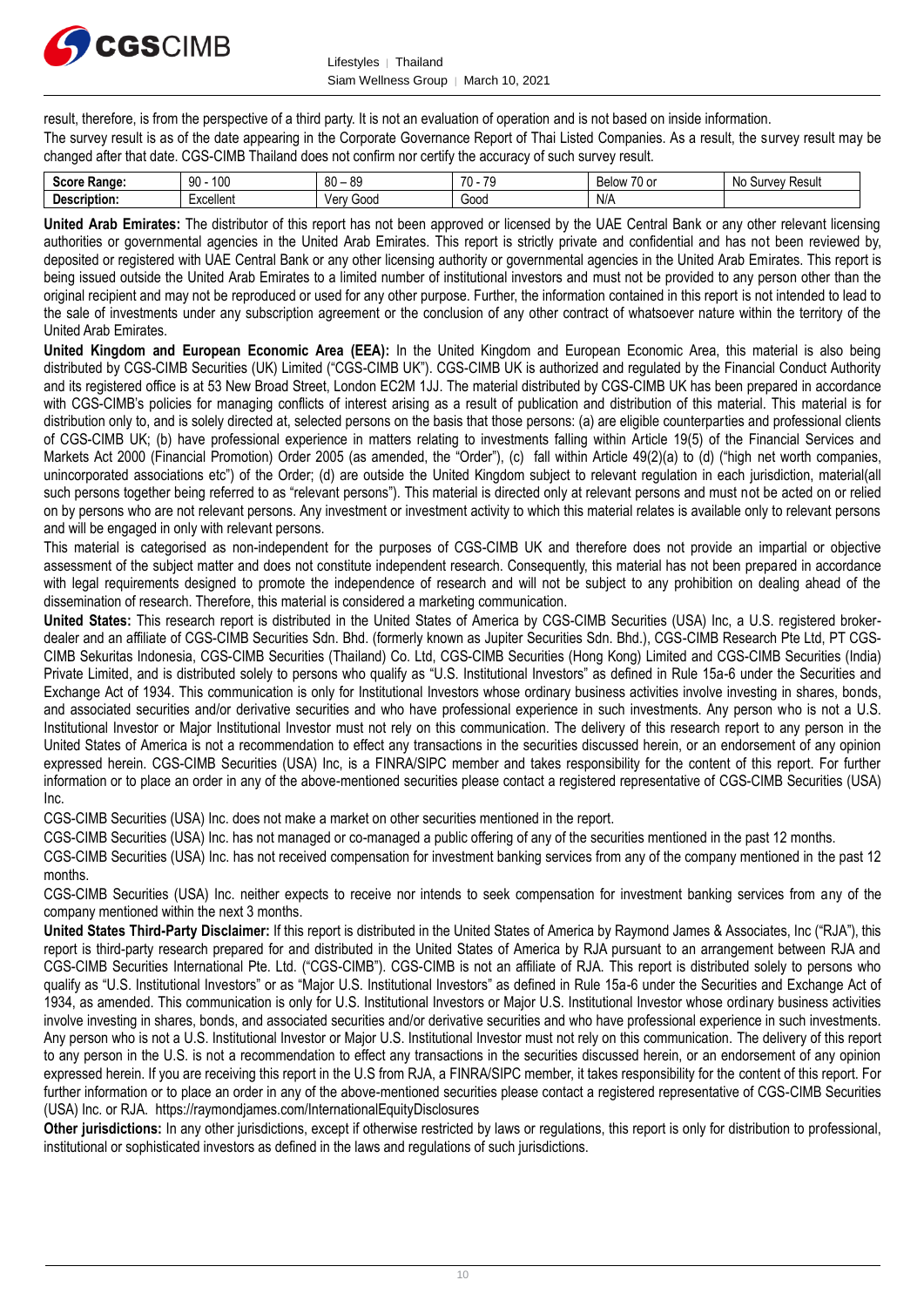

result, therefore, is from the perspective of a third party. It is not an evaluation of operation and is not based on inside information.

The survey result is as of the date appearing in the Corporate Governance Report of Thai Listed Companies. As a result, the survey result may be changed after that date. CGS-CIMB Thailand does not confirm nor certify the accuracy of such survey result.

| Score<br>Range: | م م<br>90<br>טעו | 80<br><b>RO</b><br>ັບ          | 70<br>$\overline{z}$ | --<br><b>Below</b><br>$\sim$<br>וט טו | Result<br>urve)<br>-No<br>◝<br> |
|-----------------|------------------|--------------------------------|----------------------|---------------------------------------|---------------------------------|
| scription.      | -xcellent        | ≟∩∩r<br><b>Ven</b><br>ouu<br>⊶ | Gooc                 | NI/<br>I 47 Z                         |                                 |

**United Arab Emirates:** The distributor of this report has not been approved or licensed by the UAE Central Bank or any other relevant licensing authorities or governmental agencies in the United Arab Emirates. This report is strictly private and confidential and has not been reviewed by, deposited or registered with UAE Central Bank or any other licensing authority or governmental agencies in the United Arab Emirates. This report is being issued outside the United Arab Emirates to a limited number of institutional investors and must not be provided to any person other than the original recipient and may not be reproduced or used for any other purpose. Further, the information contained in this report is not intended to lead to the sale of investments under any subscription agreement or the conclusion of any other contract of whatsoever nature within the territory of the United Arab Emirates.

**United Kingdom and European Economic Area (EEA):** In the United Kingdom and European Economic Area, this material is also being distributed by CGS-CIMB Securities (UK) Limited ("CGS-CIMB UK"). CGS-CIMB UK is authorized and regulated by the Financial Conduct Authority and its registered office is at 53 New Broad Street, London EC2M 1JJ. The material distributed by CGS-CIMB UK has been prepared in accordance with CGS-CIMB's policies for managing conflicts of interest arising as a result of publication and distribution of this material. This material is for distribution only to, and is solely directed at, selected persons on the basis that those persons: (a) are eligible counterparties and professional clients of CGS-CIMB UK; (b) have professional experience in matters relating to investments falling within Article 19(5) of the Financial Services and Markets Act 2000 (Financial Promotion) Order 2005 (as amended, the "Order"), (c) fall within Article 49(2)(a) to (d) ("high net worth companies, unincorporated associations etc") of the Order; (d) are outside the United Kingdom subject to relevant regulation in each jurisdiction, material(all such persons together being referred to as "relevant persons"). This material is directed only at relevant persons and must not be acted on or relied on by persons who are not relevant persons. Any investment or investment activity to which this material relates is available only to relevant persons and will be engaged in only with relevant persons.

This material is categorised as non-independent for the purposes of CGS-CIMB UK and therefore does not provide an impartial or objective assessment of the subject matter and does not constitute independent research. Consequently, this material has not been prepared in accordance with legal requirements designed to promote the independence of research and will not be subject to any prohibition on dealing ahead of the dissemination of research. Therefore, this material is considered a marketing communication.

**United States:** This research report is distributed in the United States of America by CGS-CIMB Securities (USA) Inc, a U.S. registered brokerdealer and an affiliate of CGS-CIMB Securities Sdn. Bhd. (formerly known as Jupiter Securities Sdn. Bhd.), CGS-CIMB Research Pte Ltd, PT CGS-CIMB Sekuritas Indonesia, CGS-CIMB Securities (Thailand) Co. Ltd, CGS-CIMB Securities (Hong Kong) Limited and CGS-CIMB Securities (India) Private Limited, and is distributed solely to persons who qualify as "U.S. Institutional Investors" as defined in Rule 15a-6 under the Securities and Exchange Act of 1934. This communication is only for Institutional Investors whose ordinary business activities involve investing in shares, bonds, and associated securities and/or derivative securities and who have professional experience in such investments. Any person who is not a U.S. Institutional Investor or Major Institutional Investor must not rely on this communication. The delivery of this research report to any person in the United States of America is not a recommendation to effect any transactions in the securities discussed herein, or an endorsement of any opinion expressed herein. CGS-CIMB Securities (USA) Inc, is a FINRA/SIPC member and takes responsibility for the content of this report. For further information or to place an order in any of the above-mentioned securities please contact a registered representative of CGS-CIMB Securities (USA) Inc.

CGS-CIMB Securities (USA) Inc. does not make a market on other securities mentioned in the report.

CGS-CIMB Securities (USA) Inc. has not managed or co-managed a public offering of any of the securities mentioned in the past 12 months.

CGS-CIMB Securities (USA) Inc. has not received compensation for investment banking services from any of the company mentioned in the past 12 months.

CGS-CIMB Securities (USA) Inc. neither expects to receive nor intends to seek compensation for investment banking services from any of the company mentioned within the next 3 months.

**United States Third-Party Disclaimer:** If this report is distributed in the United States of America by Raymond James & Associates, Inc ("RJA"), this report is third-party research prepared for and distributed in the United States of America by RJA pursuant to an arrangement between RJA and CGS-CIMB Securities International Pte. Ltd. ("CGS-CIMB"). CGS-CIMB is not an affiliate of RJA. This report is distributed solely to persons who qualify as "U.S. Institutional Investors" or as "Major U.S. Institutional Investors" as defined in Rule 15a-6 under the Securities and Exchange Act of 1934, as amended. This communication is only for U.S. Institutional Investors or Major U.S. Institutional Investor whose ordinary business activities involve investing in shares, bonds, and associated securities and/or derivative securities and who have professional experience in such investments. Any person who is not a U.S. Institutional Investor or Major U.S. Institutional Investor must not rely on this communication. The delivery of this report to any person in the U.S. is not a recommendation to effect any transactions in the securities discussed herein, or an endorsement of any opinion expressed herein. If you are receiving this report in the U.S from RJA, a FINRA/SIPC member, it takes responsibility for the content of this report. For further information or to place an order in any of the above-mentioned securities please contact a registered representative of CGS-CIMB Securities (USA) Inc. or RJA. <https://raymondjames.com/InternationalEquityDisclosures>

**Other jurisdictions:** In any other jurisdictions, except if otherwise restricted by laws or regulations, this report is only for distribution to professional, institutional or sophisticated investors as defined in the laws and regulations of such jurisdictions.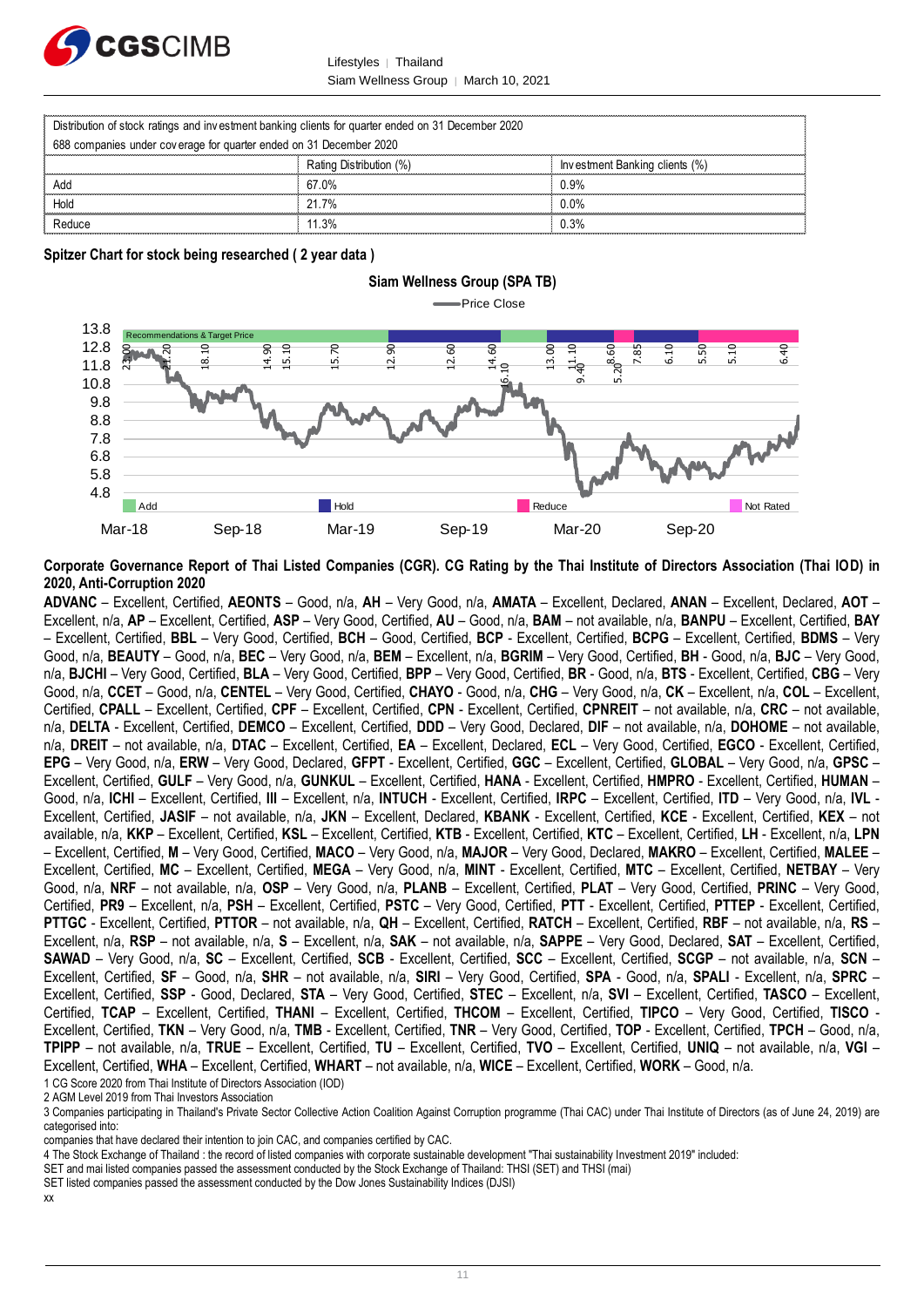

Lifestyles | Thailand Siam Wellness Group │ March 10, 2021

|                                                                                                    | Lifestvles<br>Thailand               |                                |
|----------------------------------------------------------------------------------------------------|--------------------------------------|--------------------------------|
|                                                                                                    | Siam Wellness Group   March 10, 2021 |                                |
|                                                                                                    |                                      |                                |
| Distribution of stock ratings and investment banking clients for quarter ended on 31 December 2020 |                                      |                                |
| 688 companies under coverage for quarter ended on 31 December 2020                                 |                                      |                                |
|                                                                                                    | Rating Distribution (%)              | Investment Banking clients (%) |
| Add                                                                                                | 67.0%                                | 0.9%                           |
| Hold                                                                                               | 21.7%                                | $0.0\%$                        |
| Reduce                                                                                             | 11.3%                                | 0.3%                           |

**Spitzer Chart for stock being researched ( 2 year data )**



#### **Corporate Governance Report of Thai Listed Companies (CGR). CG Rating by the Thai Institute of Directors Association (Thai IOD) in 2020, Anti-Corruption 2020**

**ADVANC** – Excellent, Certified, **AEONTS** – Good, n/a, **AH** – Very Good, n/a, **AMATA** – Excellent, Declared, **ANAN** – Excellent, Declared, **AOT** – Excellent, n/a, **AP** – Excellent, Certified, **ASP** – Very Good, Certified, **AU** – Good, n/a, **BAM** – not available, n/a, **BANPU** – Excellent, Certified, **BAY** – Excellent, Certified, **BBL** – Very Good, Certified, **BCH** – Good, Certified, **BCP** - Excellent, Certified, **BCPG** – Excellent, Certified, **BDMS** – Very Good, n/a, **BEAUTY** – Good, n/a, **BEC** – Very Good, n/a, **BEM** – Excellent, n/a, **BGRIM** – Very Good, Certified, **BH** - Good, n/a, **BJC** – Very Good, n/a, **BJCHI** – Very Good, Certified, **BLA** – Very Good, Certified, **BPP** – Very Good, Certified, **BR** - Good, n/a, **BTS** - Excellent, Certified, **CBG** – Very Good, n/a, **CCET** – Good, n/a, **CENTEL** – Very Good, Certified, **CHAYO** - Good, n/a, **CHG** – Very Good, n/a, **CK** – Excellent, n/a, **COL** – Excellent, Certified, **CPALL** – Excellent, Certified, **CPF** – Excellent, Certified, **CPN** - Excellent, Certified, **CPNREIT** – not available, n/a, **CRC** – not available, n/a, **DELTA** - Excellent, Certified, **DEMCO** – Excellent, Certified, **DDD** – Very Good, Declared, **DIF** – not available, n/a, **DOHOME** – not available, n/a, **DREIT** – not available, n/a, **DTAC** – Excellent, Certified, **EA** – Excellent, Declared, **ECL** – Very Good, Certified, **EGCO** - Excellent, Certified, **EPG** – Very Good, n/a, **ERW** – Very Good, Declared, **GFPT** - Excellent, Certified, **GGC** – Excellent, Certified, **GLOBAL** – Very Good, n/a, **GPSC** – Excellent, Certified, **GULF** – Very Good, n/a, **GUNKUL** – Excellent, Certified, **HANA** - Excellent, Certified, **HMPRO** - Excellent, Certified, **HUMAN** – Good, n/a, **ICHI** – Excellent, Certified, **III** – Excellent, n/a, **INTUCH** - Excellent, Certified, **IRPC** – Excellent, Certified, **ITD** – Very Good, n/a, **IVL** - Excellent, Certified, **JASIF** – not available, n/a, **JKN** – Excellent, Declared, **KBANK** - Excellent, Certified, **KCE** - Excellent, Certified, **KEX** – not available, n/a, **KKP** – Excellent, Certified, **KSL** – Excellent, Certified, **KTB** - Excellent, Certified, **KTC** – Excellent, Certified, **LH** - Excellent, n/a, **LPN** – Excellent, Certified, **M** – Very Good, Certified, **MACO** – Very Good, n/a, **MAJOR** – Very Good, Declared, **MAKRO** – Excellent, Certified, **MALEE** – Excellent, Certified, **MC** – Excellent, Certified, **MEGA** – Very Good, n/a, **MINT** - Excellent, Certified, **MTC** – Excellent, Certified, **NETBAY** – Very Good, n/a, **NRF** – not available, n/a, **OSP** – Very Good, n/a, **PLANB** – Excellent, Certified, **PLAT** – Very Good, Certified, **PRINC** – Very Good, Certified, **PR9** – Excellent, n/a, **PSH** – Excellent, Certified, **PSTC** – Very Good, Certified, **PTT** - Excellent, Certified, **PTTEP** - Excellent, Certified, **PTTGC** - Excellent, Certified, **PTTOR** – not available, n/a, **QH** – Excellent, Certified, **RATCH** – Excellent, Certified, **RBF** – not available, n/a, **RS** – Excellent, n/a, **RSP** – not available, n/a, **S** – Excellent, n/a, **SAK** – not available, n/a, **SAPPE** – Very Good, Declared, **SAT** – Excellent, Certified, **SAWAD** – Very Good, n/a, **SC** – Excellent, Certified, **SCB** - Excellent, Certified, **SCC** – Excellent, Certified, **SCGP** – not available, n/a, **SCN** – Excellent, Certified, **SF** – Good, n/a, **SHR** – not available, n/a, **SIRI** – Very Good, Certified, **SPA** - Good, n/a, **SPALI** - Excellent, n/a, **SPRC** – Excellent, Certified, **SSP** - Good, Declared, **STA** – Very Good, Certified, **STEC** – Excellent, n/a, **SVI** – Excellent, Certified, **TASCO** – Excellent, Certified, **TCAP** – Excellent, Certified, **THANI** – Excellent, Certified, **THCOM** – Excellent, Certified, **TIPCO** – Very Good, Certified, **TISCO** - Excellent, Certified, **TKN** – Very Good, n/a, **TMB** - Excellent, Certified, **TNR** – Very Good, Certified, **TOP** - Excellent, Certified, **TPCH** – Good, n/a, **TPIPP** – not available, n/a, **TRUE** – Excellent, Certified, **TU** – Excellent, Certified, **TVO** – Excellent, Certified, **UNIQ** – not available, n/a, **VGI** – Excellent, Certified, **WHA** – Excellent, Certified, **WHART** – not available, n/a, **WICE** – Excellent, Certified, **WORK** – Good, n/a.

1 [CG Score 2020 from Thai Institute of Directors Association \(IOD\)](http://www.thai-iod.com/imgUpload/Brochure%20CGR%202019%20Resized.pdf)

2 AGM Level 2019 from Thai Investors Association

xx

<sup>3</sup> Companies participating in Thailand's Private Sector Collective Action Coalition Against Corruption programme (Thai CAC) under Thai Institute of Directors (as of June 24, 2019) are categorised into:

companies that have declared their intention to join CAC, and companies certified by CAC.

<sup>4</sup> [The Stock Exchange of Thailand : the record of listed companies with corporate sustainable development "Thai sustainability Investment 2019" included:](http://www.set.or.th/sustainable_dev/en/sr/sri/tsi_p1.html)

SET and mai listed companies passed the assessment conducted by the Stock Exchange of Thailand: THSI (SET) and THSI (mai)

SET listed companies passed the assessment conducted by the Dow Jones Sustainability Indices (DJSI)